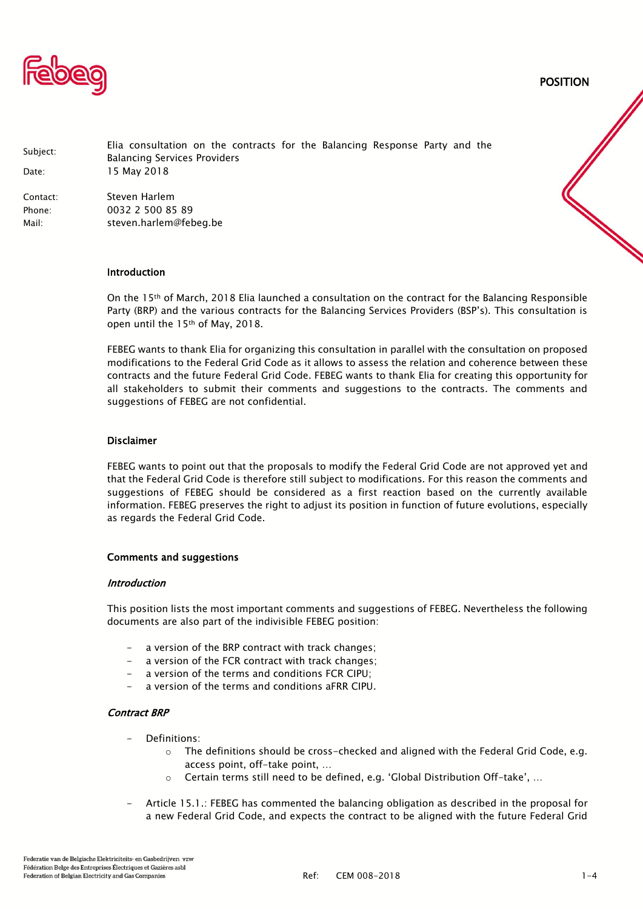

POSITION

| Subject:<br>Date: | Elia consultation on the contracts for the Balancing Response Party and the<br><b>Balancing Services Providers</b><br>15 May 2018 |
|-------------------|-----------------------------------------------------------------------------------------------------------------------------------|
| Contact:          | Steven Harlem                                                                                                                     |
| Phone:            | 0032 2 500 85 89                                                                                                                  |
| Mail:             | steven.harlem@febeg.be                                                                                                            |

#### Introduction

On the 15th of March, 2018 Elia launched a consultation on the contract for the Balancing Responsible Party (BRP) and the various contracts for the Balancing Services Providers (BSP's). This consultation is open until the 15th of May, 2018.

FEBEG wants to thank Elia for organizing this consultation in parallel with the consultation on proposed modifications to the Federal Grid Code as it allows to assess the relation and coherence between these contracts and the future Federal Grid Code. FEBEG wants to thank Elia for creating this opportunity for all stakeholders to submit their comments and suggestions to the contracts. The comments and suggestions of FEBEG are not confidential.

#### Disclaimer

FEBEG wants to point out that the proposals to modify the Federal Grid Code are not approved yet and that the Federal Grid Code is therefore still subject to modifications. For this reason the comments and suggestions of FEBEG should be considered as a first reaction based on the currently available information. FEBEG preserves the right to adjust its position in function of future evolutions, especially as regards the Federal Grid Code.

#### Comments and suggestions

#### Introduction

This position lists the most important comments and suggestions of FEBEG. Nevertheless the following documents are also part of the indivisible FEBEG position:

- a version of the BRP contract with track changes;
- a version of the FCR contract with track changes;
- a version of the terms and conditions FCR CIPU:
- a version of the terms and conditions aFRR CIPU.

#### Contract BRP

- Definitions:
	- $\circ$  The definitions should be cross-checked and aligned with the Federal Grid Code, e.g. access point, off-take point, …
	- o Certain terms still need to be defined, e.g. 'Global Distribution Off-take', …
- Article 15.1.: FEBEG has commented the balancing obligation as described in the proposal for a new Federal Grid Code, and expects the contract to be aligned with the future Federal Grid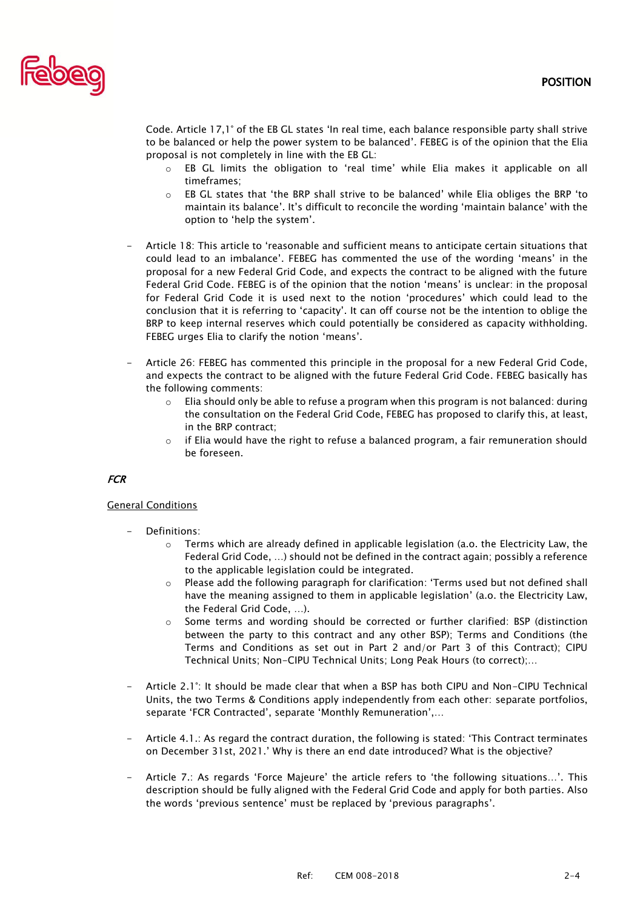

Code. Article 17,1° of the EB GL states 'In real time, each balance responsible party shall strive to be balanced or help the power system to be balanced'. FEBEG is of the opinion that the Elia proposal is not completely in line with the EB GL:

- o EB GL limits the obligation to 'real time' while Elia makes it applicable on all timeframes;
- o EB GL states that 'the BRP shall strive to be balanced' while Elia obliges the BRP 'to maintain its balance'. It's difficult to reconcile the wording 'maintain balance' with the option to 'help the system'.
- Article 18: This article to 'reasonable and sufficient means to anticipate certain situations that could lead to an imbalance'. FEBEG has commented the use of the wording 'means' in the proposal for a new Federal Grid Code, and expects the contract to be aligned with the future Federal Grid Code. FEBEG is of the opinion that the notion 'means' is unclear: in the proposal for Federal Grid Code it is used next to the notion 'procedures' which could lead to the conclusion that it is referring to 'capacity'. It can off course not be the intention to oblige the BRP to keep internal reserves which could potentially be considered as capacity withholding. FEBEG urges Elia to clarify the notion 'means'.
- Article 26: FEBEG has commented this principle in the proposal for a new Federal Grid Code, and expects the contract to be aligned with the future Federal Grid Code. FEBEG basically has the following comments:
	- $\circ$  Elia should only be able to refuse a program when this program is not balanced: during the consultation on the Federal Grid Code, FEBEG has proposed to clarify this, at least, in the BRP contract;
	- $\circ$  if Elia would have the right to refuse a balanced program, a fair remuneration should be foreseen.

# **FCR**

# General Conditions

- Definitions:
	- $\circ$  Terms which are already defined in applicable legislation (a.o. the Electricity Law, the Federal Grid Code, …) should not be defined in the contract again; possibly a reference to the applicable legislation could be integrated.
	- $\circ$  Please add the following paragraph for clarification: 'Terms used but not defined shall have the meaning assigned to them in applicable legislation' (a.o. the Electricity Law, the Federal Grid Code, …).
	- o Some terms and wording should be corrected or further clarified: BSP (distinction between the party to this contract and any other BSP); Terms and Conditions (the Terms and Conditions as set out in Part 2 and/or Part 3 of this Contract); CIPU Technical Units; Non-CIPU Technical Units; Long Peak Hours (to correct);…
- Article 2.1°: It should be made clear that when a BSP has both CIPU and Non-CIPU Technical Units, the two Terms & Conditions apply independently from each other: separate portfolios, separate 'FCR Contracted', separate 'Monthly Remuneration',…
- Article 4.1.: As regard the contract duration, the following is stated: 'This Contract terminates on December 31st, 2021.' Why is there an end date introduced? What is the objective?
- Article 7.: As regards 'Force Majeure' the article refers to 'the following situations...'. This description should be fully aligned with the Federal Grid Code and apply for both parties. Also the words 'previous sentence' must be replaced by 'previous paragraphs'.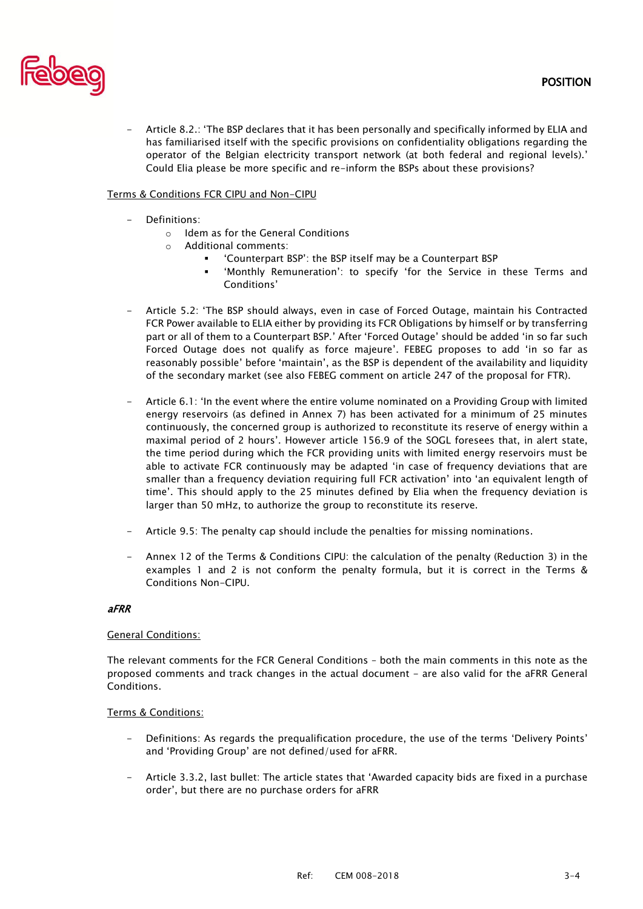

- Article 8.2.: 'The BSP declares that it has been personally and specifically informed by ELIA and has familiarised itself with the specific provisions on confidentiality obligations regarding the operator of the Belgian electricity transport network (at both federal and regional levels).' Could Elia please be more specific and re-inform the BSPs about these provisions?

# Terms & Conditions FCR CIPU and Non-CIPU

- Definitions:
	- o Idem as for the General Conditions
	- o Additional comments:
		- 'Counterpart BSP': the BSP itself may be a Counterpart BSP
			- 'Monthly Remuneration': to specify 'for the Service in these Terms and Conditions'
- Article 5.2: 'The BSP should always, even in case of Forced Outage, maintain his Contracted FCR Power available to ELIA either by providing its FCR Obligations by himself or by transferring part or all of them to a Counterpart BSP.' After 'Forced Outage' should be added 'in so far such Forced Outage does not qualify as force majeure'. FEBEG proposes to add 'in so far as reasonably possible' before 'maintain', as the BSP is dependent of the availability and liquidity of the secondary market (see also FEBEG comment on article 247 of the proposal for FTR).
- Article 6.1: 'In the event where the entire volume nominated on a Providing Group with limited energy reservoirs (as defined in Annex 7) has been activated for a minimum of 25 minutes continuously, the concerned group is authorized to reconstitute its reserve of energy within a maximal period of 2 hours'. However article 156.9 of the SOGL foresees that, in alert state, the time period during which the FCR providing units with limited energy reservoirs must be able to activate FCR continuously may be adapted 'in case of frequency deviations that are smaller than a frequency deviation requiring full FCR activation' into 'an equivalent length of time'. This should apply to the 25 minutes defined by Elia when the frequency deviation is larger than 50 mHz, to authorize the group to reconstitute its reserve.
- Article 9.5: The penalty cap should include the penalties for missing nominations.
- Annex 12 of the Terms & Conditions CIPU: the calculation of the penalty (Reduction 3) in the examples 1 and 2 is not conform the penalty formula, but it is correct in the Terms & Conditions Non-CIPU.

# aFRR

# General Conditions:

The relevant comments for the FCR General Conditions – both the main comments in this note as the proposed comments and track changes in the actual document - are also valid for the aFRR General Conditions.

# Terms & Conditions:

- Definitions: As regards the prequalification procedure, the use of the terms 'Delivery Points' and 'Providing Group' are not defined/used for aFRR.
- Article 3.3.2, last bullet: The article states that 'Awarded capacity bids are fixed in a purchase order', but there are no purchase orders for aFRR